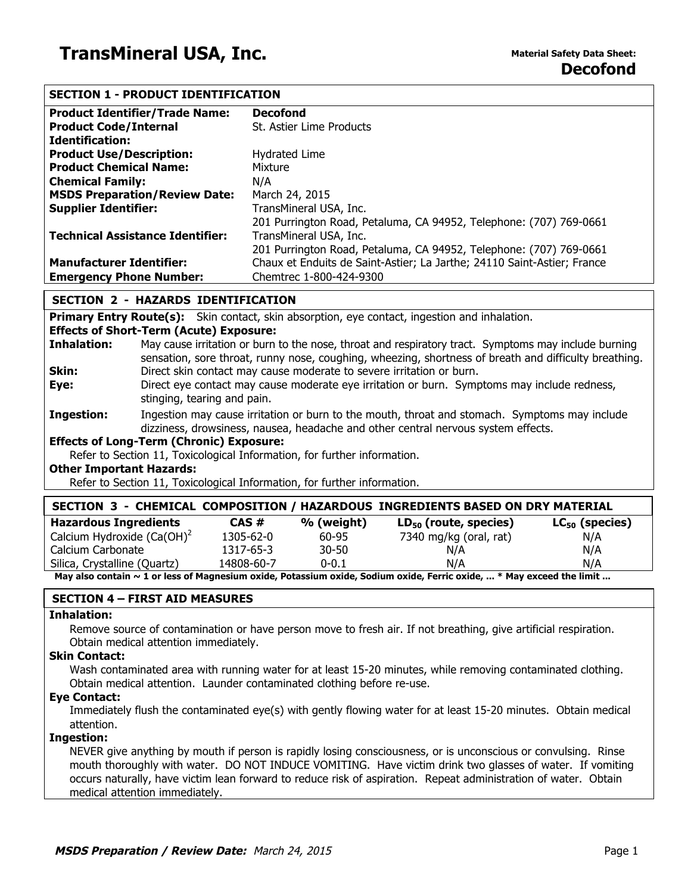# **SECTION 1 - PRODUCT IDENTIFICATION**

| <b>Product Identifier/Trade Name:</b>   | <b>Decofond</b>                                                         |
|-----------------------------------------|-------------------------------------------------------------------------|
| <b>Product Code/Internal</b>            | St. Astier Lime Products                                                |
| <b>Identification:</b>                  |                                                                         |
| <b>Product Use/Description:</b>         | Hydrated Lime                                                           |
| <b>Product Chemical Name:</b>           | Mixture                                                                 |
| <b>Chemical Family:</b>                 | N/A                                                                     |
| <b>MSDS Preparation/Review Date:</b>    | March 24, 2015                                                          |
| <b>Supplier Identifier:</b>             | TransMineral USA, Inc.                                                  |
|                                         | 201 Purrington Road, Petaluma, CA 94952, Telephone: (707) 769-0661      |
| <b>Technical Assistance Identifier:</b> | TransMineral USA, Inc.                                                  |
|                                         | 201 Purrington Road, Petaluma, CA 94952, Telephone: (707) 769-0661      |
| <b>Manufacturer Identifier:</b>         | Chaux et Enduits de Saint-Astier; La Jarthe; 24110 Saint-Astier; France |
| <b>Emergency Phone Number:</b>          | Chemtrec 1-800-424-9300                                                 |

### **SECTION 2 - HAZARDS IDENTIFICATION**

**Primary Entry Route(s):** Skin contact, skin absorption, eye contact, ingestion and inhalation.

#### **Effects of Short-Term (Acute) Exposure:**

| Inhalation: | May cause irritation or burn to the nose, throat and respiratory tract. Symptoms may include burning  |
|-------------|-------------------------------------------------------------------------------------------------------|
|             | sensation, sore throat, runny nose, coughing, wheezing, shortness of breath and difficulty breathing. |
| Skin:       | Direct skin contact may cause moderate to severe irritation or burn.                                  |

- **Eye:** Direct eye contact may cause moderate eye irritation or burn. Symptoms may include redness, stinging, tearing and pain.
- **Ingestion:** Ingestion may cause irritation or burn to the mouth, throat and stomach. Symptoms may include dizziness, drowsiness, nausea, headache and other central nervous system effects.

## **Effects of Long-Term (Chronic) Exposure:**

Refer to Section 11, Toxicological Information, for further information.

#### **Other Important Hazards:**

Refer to Section 11, Toxicological Information, for further information.

| SECTION 3 - CHEMICAL COMPOSITION / HAZARDOUS INGREDIENTS BASED ON DRY MATERIAL                                        |            |            |                            |                     |
|-----------------------------------------------------------------------------------------------------------------------|------------|------------|----------------------------|---------------------|
| <b>Hazardous Ingredients</b>                                                                                          | CAS#       | % (weight) | $LD_{50}$ (route, species) | $LC_{50}$ (species) |
| Calcium Hydroxide $(Ca(OH)^2)$                                                                                        | 1305-62-0  | 60-95      | 7340 mg/kg (oral, rat)     | N/A                 |
| Calcium Carbonate                                                                                                     | 1317-65-3  | $30 - 50$  | N/A                        | N/A                 |
| Silica, Crystalline (Quartz)                                                                                          | 14808-60-7 | $0 - 0.1$  | N/A                        | N/A                 |
| May also contain ~ 1 or less of Magnesium oxide, Potassium oxide, Sodium oxide, Ferric oxide,  * May exceed the limit |            |            |                            |                     |

# **SECTION 4 – FIRST AID MEASURES**

### **Inhalation:**

Remove source of contamination or have person move to fresh air. If not breathing, give artificial respiration. Obtain medical attention immediately.

#### **Skin Contact:**

Wash contaminated area with running water for at least 15-20 minutes, while removing contaminated clothing. Obtain medical attention. Launder contaminated clothing before re-use.

### **Eye Contact:**

Immediately flush the contaminated eye(s) with gently flowing water for at least 15-20 minutes. Obtain medical attention.

#### **Ingestion:**

NEVER give anything by mouth if person is rapidly losing consciousness, or is unconscious or convulsing. Rinse mouth thoroughly with water. DO NOT INDUCE VOMITING. Have victim drink two glasses of water. If vomiting occurs naturally, have victim lean forward to reduce risk of aspiration. Repeat administration of water. Obtain medical attention immediately.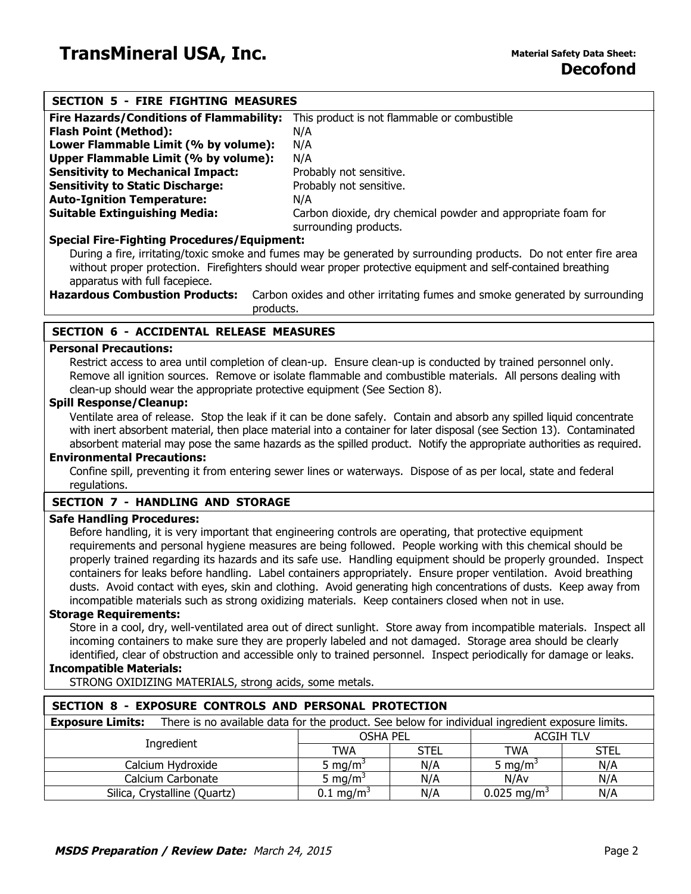| <b>SECTION 5 - FIRE FIGHTING MEASURES</b>                                                                                   |                                                                                       |             |                                  |                  |
|-----------------------------------------------------------------------------------------------------------------------------|---------------------------------------------------------------------------------------|-------------|----------------------------------|------------------|
| <b>Fire Hazards/Conditions of Flammability:</b>                                                                             | This product is not flammable or combustible                                          |             |                                  |                  |
| <b>Flash Point (Method):</b>                                                                                                | N/A                                                                                   |             |                                  |                  |
| Lower Flammable Limit (% by volume):                                                                                        | N/A                                                                                   |             |                                  |                  |
| Upper Flammable Limit (% by volume):                                                                                        | N/A                                                                                   |             |                                  |                  |
| <b>Sensitivity to Mechanical Impact:</b>                                                                                    | Probably not sensitive.                                                               |             |                                  |                  |
| <b>Sensitivity to Static Discharge:</b>                                                                                     | Probably not sensitive.                                                               |             |                                  |                  |
| <b>Auto-Ignition Temperature:</b>                                                                                           | N/A                                                                                   |             |                                  |                  |
| <b>Suitable Extinguishing Media:</b>                                                                                        | Carbon dioxide, dry chemical powder and appropriate foam for<br>surrounding products. |             |                                  |                  |
| <b>Special Fire-Fighting Procedures/Equipment:</b>                                                                          |                                                                                       |             |                                  |                  |
| During a fire, irritating/toxic smoke and fumes may be generated by surrounding products. Do not enter fire area            |                                                                                       |             |                                  |                  |
| without proper protection. Firefighters should wear proper protective equipment and self-contained breathing                |                                                                                       |             |                                  |                  |
| apparatus with full facepiece.                                                                                              |                                                                                       |             |                                  |                  |
| <b>Hazardous Combustion Products:</b>                                                                                       | Carbon oxides and other irritating fumes and smoke generated by surrounding           |             |                                  |                  |
| products.                                                                                                                   |                                                                                       |             |                                  |                  |
|                                                                                                                             |                                                                                       |             |                                  |                  |
| <b>SECTION 6 - ACCIDENTAL RELEASE MEASURES</b>                                                                              |                                                                                       |             |                                  |                  |
| <b>Personal Precautions:</b>                                                                                                |                                                                                       |             |                                  |                  |
| Restrict access to area until completion of clean-up. Ensure clean-up is conducted by trained personnel only.               |                                                                                       |             |                                  |                  |
| Remove all ignition sources. Remove or isolate flammable and combustible materials. All persons dealing with                |                                                                                       |             |                                  |                  |
| clean-up should wear the appropriate protective equipment (See Section 8).                                                  |                                                                                       |             |                                  |                  |
| <b>Spill Response/Cleanup:</b>                                                                                              |                                                                                       |             |                                  |                  |
| Ventilate area of release. Stop the leak if it can be done safely. Contain and absorb any spilled liquid concentrate        |                                                                                       |             |                                  |                  |
| with inert absorbent material, then place material into a container for later disposal (see Section 13). Contaminated       |                                                                                       |             |                                  |                  |
| absorbent material may pose the same hazards as the spilled product. Notify the appropriate authorities as required.        |                                                                                       |             |                                  |                  |
| <b>Environmental Precautions:</b>                                                                                           |                                                                                       |             |                                  |                  |
| Confine spill, preventing it from entering sewer lines or waterways. Dispose of as per local, state and federal             |                                                                                       |             |                                  |                  |
| regulations.                                                                                                                |                                                                                       |             |                                  |                  |
| <b>SECTION 7 - HANDLING AND STORAGE</b>                                                                                     |                                                                                       |             |                                  |                  |
| <b>Safe Handling Procedures:</b>                                                                                            |                                                                                       |             |                                  |                  |
| Before handling, it is very important that engineering controls are operating, that protective equipment                    |                                                                                       |             |                                  |                  |
| requirements and personal hygiene measures are being followed. People working with this chemical should be                  |                                                                                       |             |                                  |                  |
| properly trained regarding its hazards and its safe use. Handling equipment should be properly grounded. Inspect            |                                                                                       |             |                                  |                  |
| containers for leaks before handling. Label containers appropriately. Ensure proper ventilation. Avoid breathing            |                                                                                       |             |                                  |                  |
| dusts. Avoid contact with eyes, skin and clothing. Avoid generating high concentrations of dusts. Keep away from            |                                                                                       |             |                                  |                  |
| incompatible materials such as strong oxidizing materials. Keep containers closed when not in use.                          |                                                                                       |             |                                  |                  |
| <b>Storage Requirements:</b>                                                                                                |                                                                                       |             |                                  |                  |
| Store in a cool, dry, well-ventilated area out of direct sunlight. Store away from incompatible materials. Inspect all      |                                                                                       |             |                                  |                  |
| incoming containers to make sure they are properly labeled and not damaged. Storage area should be clearly                  |                                                                                       |             |                                  |                  |
| identified, clear of obstruction and accessible only to trained personnel. Inspect periodically for damage or leaks.        |                                                                                       |             |                                  |                  |
| <b>Incompatible Materials:</b>                                                                                              |                                                                                       |             |                                  |                  |
| STRONG OXIDIZING MATERIALS, strong acids, some metals.                                                                      |                                                                                       |             |                                  |                  |
|                                                                                                                             |                                                                                       |             |                                  |                  |
| SECTION 8 - EXPOSURE CONTROLS AND PERSONAL PROTECTION                                                                       |                                                                                       |             |                                  |                  |
| <b>Exposure Limits:</b><br>There is no available data for the product. See below for individual ingredient exposure limits. |                                                                                       |             |                                  |                  |
| Ingredient                                                                                                                  | <b>OSHA PEL</b>                                                                       |             |                                  | <b>ACGIH TLV</b> |
|                                                                                                                             | <b>TWA</b>                                                                            | <b>STEL</b> | <b>TWA</b>                       | <b>STEL</b>      |
| Calcium Hydroxide                                                                                                           | 5 mg/ $m^3$                                                                           | N/A         | $\overline{5}$ mg/m <sup>3</sup> | N/A              |

Calcium Carbonate 5 mg/m<sup>3</sup> N/A N/Av N/A<br>
ca, Crystalline (Quartz) 0.1 mg/m<sup>3</sup> N/A 0.025 mg/m<sup>3</sup> N/A Silica, Crystalline (Quartz)  $0.1 \text{ mg/m}^3$  N/A  $0.025 \text{ mg/m}^3$  N/A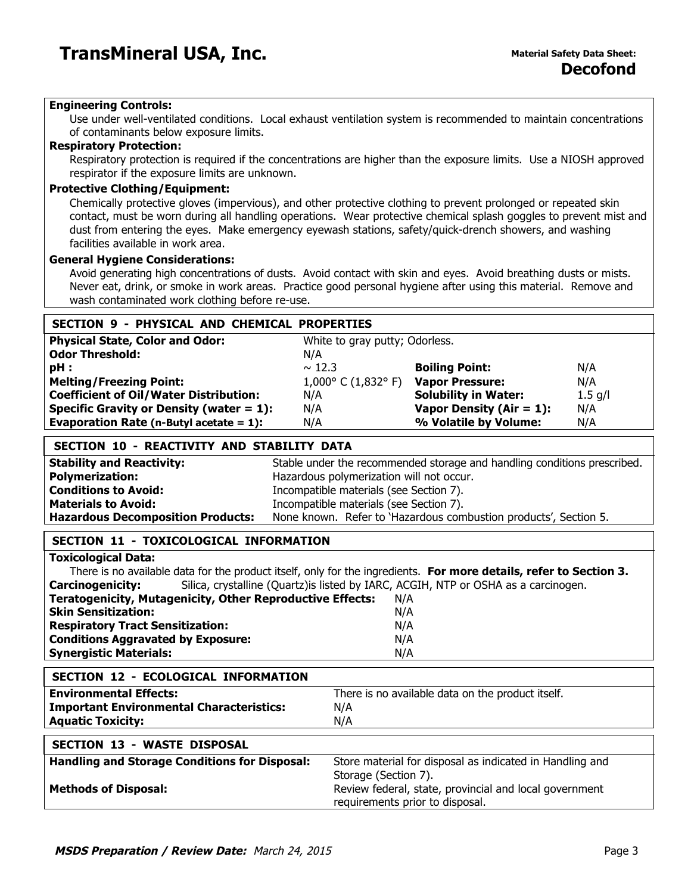### **Engineering Controls:**

Use under well-ventilated conditions. Local exhaust ventilation system is recommended to maintain concentrations of contaminants below exposure limits.

### **Respiratory Protection:**

Respiratory protection is required if the concentrations are higher than the exposure limits. Use a NIOSH approved respirator if the exposure limits are unknown.

### **Protective Clothing/Equipment:**

Chemically protective gloves (impervious), and other protective clothing to prevent prolonged or repeated skin contact, must be worn during all handling operations. Wear protective chemical splash goggles to prevent mist and dust from entering the eyes. Make emergency eyewash stations, safety/quick-drench showers, and washing facilities available in work area.

#### **General Hygiene Considerations:**

Avoid generating high concentrations of dusts. Avoid contact with skin and eyes. Avoid breathing dusts or mists. Never eat, drink, or smoke in work areas. Practice good personal hygiene after using this material. Remove and wash contaminated work clothing before re-use.

| SECTION 9 - PHYSICAL AND CHEMICAL PROPERTIES  |                                |                              |           |
|-----------------------------------------------|--------------------------------|------------------------------|-----------|
| <b>Physical State, Color and Odor:</b>        | White to gray putty; Odorless. |                              |           |
| <b>Odor Threshold:</b>                        | N/A                            |                              |           |
| $pH$ :                                        | $\sim$ 12.3                    | <b>Boiling Point:</b>        | N/A       |
| <b>Melting/Freezing Point:</b>                | $1,000^{\circ}$ C (1,832° F)   | <b>Vapor Pressure:</b>       | N/A       |
| <b>Coefficient of Oil/Water Distribution:</b> | N/A                            | <b>Solubility in Water:</b>  | $1.5$ g/l |
| Specific Gravity or Density (water $= 1$ ):   | N/A                            | Vapor Density ( $Air = 1$ ): | N/A       |
| Evaporation Rate (n-Butyl acetate $= 1$ ):    | N/A                            | % Volatile by Volume:        | N/A       |
|                                               |                                |                              |           |

| SECTION 10 - REACTIVITY AND STABILITY DATA |                                                                          |  |
|--------------------------------------------|--------------------------------------------------------------------------|--|
| <b>Stability and Reactivity:</b>           | Stable under the recommended storage and handling conditions prescribed. |  |
| <b>Polymerization:</b>                     | Hazardous polymerization will not occur.                                 |  |
| <b>Conditions to Avoid:</b>                | Incompatible materials (see Section 7).                                  |  |
| <b>Materials to Avoid:</b>                 | Incompatible materials (see Section 7).                                  |  |
| <b>Hazardous Decomposition Products:</b>   | None known. Refer to 'Hazardous combustion products', Section 5.         |  |

# **SECTION 11 - TOXICOLOGICAL INFORMATION**

# **Toxicological Data:**

| There is no available data for the product itself, only for the ingredients. For more details, refer to Section 3. |                                                                                     |  |  |
|--------------------------------------------------------------------------------------------------------------------|-------------------------------------------------------------------------------------|--|--|
| <b>Carcinogenicity:</b>                                                                                            | Silica, crystalline (Quartz) is listed by IARC, ACGIH, NTP or OSHA as a carcinogen. |  |  |
| <b>Teratogenicity, Mutagenicity, Other Reproductive Effects:</b>                                                   | N/A                                                                                 |  |  |
| <b>Skin Sensitization:</b>                                                                                         | N/A                                                                                 |  |  |
| <b>Respiratory Tract Sensitization:</b>                                                                            | N/A                                                                                 |  |  |
| <b>Conditions Aggravated by Exposure:</b>                                                                          | N/A                                                                                 |  |  |
| <b>Synergistic Materials:</b>                                                                                      | N/A                                                                                 |  |  |

| <b>SECTION 12 - ECOLOGICAL INFORMATION</b>           |                                                          |
|------------------------------------------------------|----------------------------------------------------------|
| <b>Environmental Effects:</b>                        | There is no available data on the product itself.        |
| <b>Important Environmental Characteristics:</b>      | N/A                                                      |
| <b>Aquatic Toxicity:</b>                             | N/A                                                      |
|                                                      |                                                          |
| <b>SECTION 13 - WASTE DISPOSAL</b>                   |                                                          |
| <b>Handling and Storage Conditions for Disposal:</b> | Store material for disposal as indicated in Handling and |
|                                                      | Storage (Section 7).                                     |
| <b>Methods of Disposal:</b>                          | Review federal, state, provincial and local government   |

requirements prior to disposal.